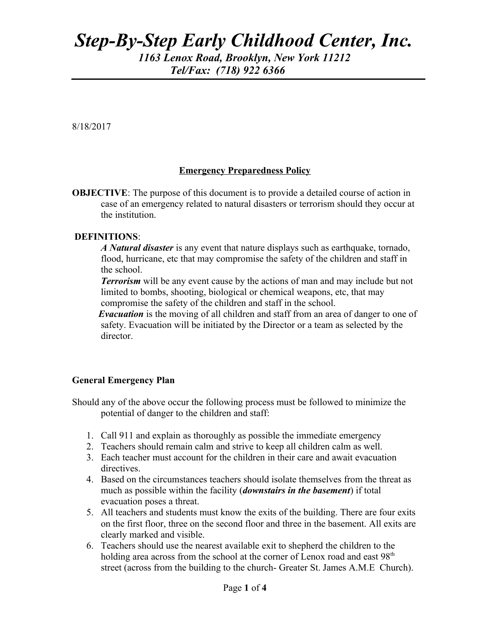# *Step-By-Step Early Childhood Center, Inc. 1163 Lenox Road, Brooklyn, New York 11212 Tel/Fax: (718) 922 6366*

8/18/2017

ֺ֝֡

#### **Emergency Preparedness Policy**

**OBJECTIVE:** The purpose of this document is to provide a detailed course of action in case of an emergency related to natural disasters or terrorism should they occur at the institution.

#### **DEFINITIONS**:

 *A Natural disaster* is any event that nature displays such as earthquake, tornado, flood, hurricane, etc that may compromise the safety of the children and staff in the school.

 *Terrorism* will be any event cause by the actions of man and may include but not limited to bombs, shooting, biological or chemical weapons, etc, that may compromise the safety of the children and staff in the school.

*Evacuation* is the moving of all children and staff from an area of danger to one of safety. Evacuation will be initiated by the Director or a team as selected by the director.

#### **General Emergency Plan**

Should any of the above occur the following process must be followed to minimize the potential of danger to the children and staff:

- 1. Call 911 and explain as thoroughly as possible the immediate emergency
- 2. Teachers should remain calm and strive to keep all children calm as well.
- 3. Each teacher must account for the children in their care and await evacuation directives.
- 4. Based on the circumstances teachers should isolate themselves from the threat as much as possible within the facility (*downstairs in the basement*) if total evacuation poses a threat.
- 5. All teachers and students must know the exits of the building. There are four exits on the first floor, three on the second floor and three in the basement. All exits are clearly marked and visible.
- 6. Teachers should use the nearest available exit to shepherd the children to the holding area across from the school at the corner of Lenox road and east 98<sup>th</sup> street (across from the building to the church- Greater St. James A.M.E Church).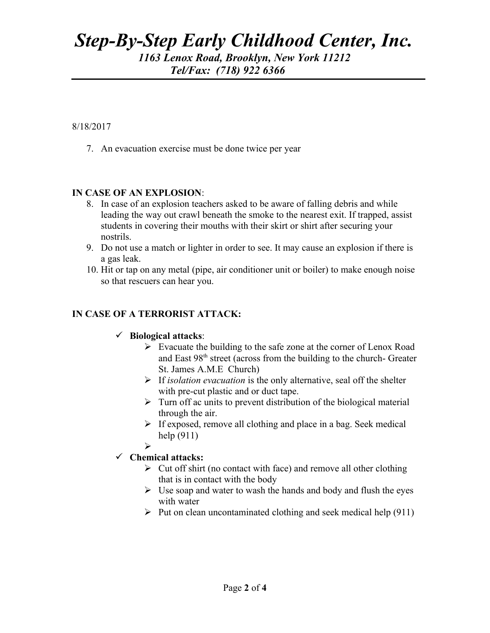## *Step-By-Step Early Childhood Center, Inc. 1163 Lenox Road, Brooklyn, New York 11212 Tel/Fax: (718) 922 6366*  ֺ֝֡

8/18/2017

7. An evacuation exercise must be done twice per year

### **IN CASE OF AN EXPLOSION**:

- 8. In case of an explosion teachers asked to be aware of falling debris and while leading the way out crawl beneath the smoke to the nearest exit. If trapped, assist students in covering their mouths with their skirt or shirt after securing your nostrils.
- 9. Do not use a match or lighter in order to see. It may cause an explosion if there is a gas leak.
- 10. Hit or tap on any metal (pipe, air conditioner unit or boiler) to make enough noise so that rescuers can hear you.

### **IN CASE OF A TERRORIST ATTACK:**

#### **Biological attacks**:

- $\triangleright$  Evacuate the building to the safe zone at the corner of Lenox Road and East 98<sup>th</sup> street (across from the building to the church- Greater St. James A.M.E Church)
- If *isolation evacuation* is the only alternative, seal off the shelter with pre-cut plastic and or duct tape.
- $\triangleright$  Turn off ac units to prevent distribution of the biological material through the air.
- $\triangleright$  If exposed, remove all clothing and place in a bag. Seek medical help (911)
- $\blacktriangleright$

#### **Chemical attacks:**

- $\triangleright$  Cut off shirt (no contact with face) and remove all other clothing that is in contact with the body
- $\triangleright$  Use soap and water to wash the hands and body and flush the eyes with water
- $\triangleright$  Put on clean uncontaminated clothing and seek medical help (911)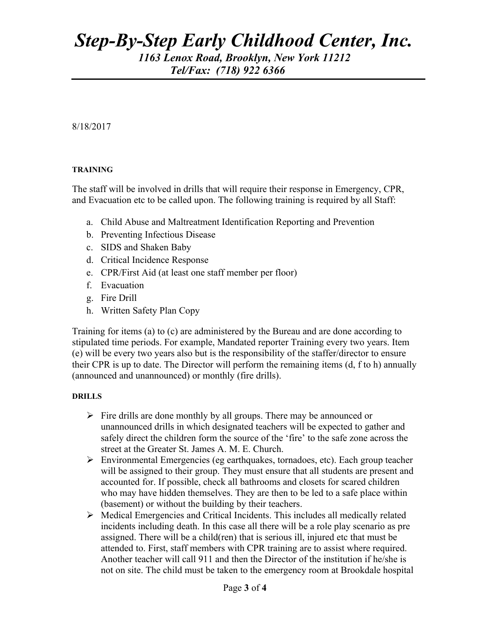## *Step-By-Step Early Childhood Center, Inc. 1163 Lenox Road, Brooklyn, New York 11212 Tel/Fax: (718) 922 6366*

8/18/2017

ֺ֝֡

#### **TRAINING**

The staff will be involved in drills that will require their response in Emergency, CPR, and Evacuation etc to be called upon. The following training is required by all Staff:

- a. Child Abuse and Maltreatment Identification Reporting and Prevention
- b. Preventing Infectious Disease
- c. SIDS and Shaken Baby
- d. Critical Incidence Response
- e. CPR/First Aid (at least one staff member per floor)
- f. Evacuation
- g. Fire Drill
- h. Written Safety Plan Copy

Training for items (a) to (c) are administered by the Bureau and are done according to stipulated time periods. For example, Mandated reporter Training every two years. Item (e) will be every two years also but is the responsibility of the staffer/director to ensure their CPR is up to date. The Director will perform the remaining items (d, f to h) annually (announced and unannounced) or monthly (fire drills).

#### **DRILLS**

- $\triangleright$  Fire drills are done monthly by all groups. There may be announced or unannounced drills in which designated teachers will be expected to gather and safely direct the children form the source of the 'fire' to the safe zone across the street at the Greater St. James A. M. E. Church.
- Environmental Emergencies (eg earthquakes, tornadoes, etc). Each group teacher will be assigned to their group. They must ensure that all students are present and accounted for. If possible, check all bathrooms and closets for scared children who may have hidden themselves. They are then to be led to a safe place within (basement) or without the building by their teachers.
- $\triangleright$  Medical Emergencies and Critical Incidents. This includes all medically related incidents including death. In this case all there will be a role play scenario as pre assigned. There will be a child(ren) that is serious ill, injured etc that must be attended to. First, staff members with CPR training are to assist where required. Another teacher will call 911 and then the Director of the institution if he/she is not on site. The child must be taken to the emergency room at Brookdale hospital